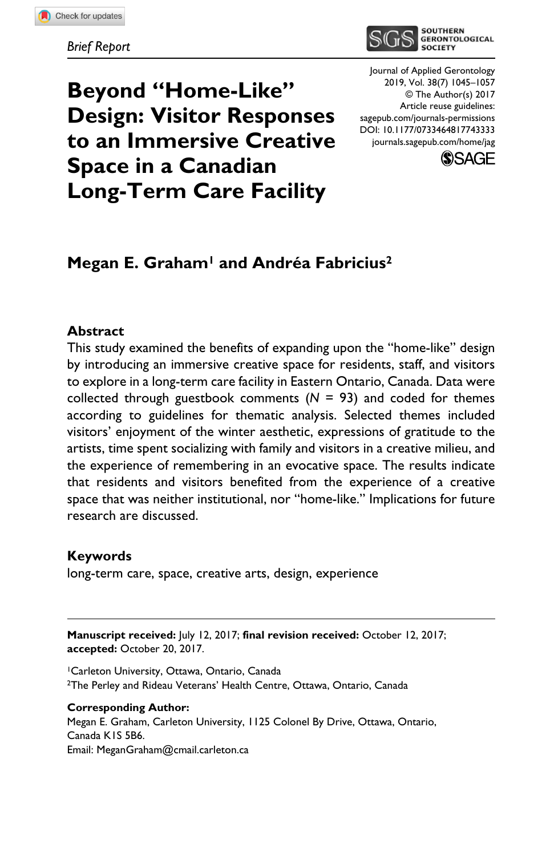

# **Beyond "Home-Like" Design: Visitor Responses to an Immersive Creative Space in a Canadian Long-Term Care Facility**

DOI: 10.1177/0733464817743333 Journal of Applied Gerontology 2019, Vol. 38(7) 1045–1057 © The Author(s) 2017 Article reuse guidelines: [sagepub.com/journals-permissions](https://us.sagepub.com/en-us/journals-permissions) [journals.sagepub.com/home/jag](https://journals.sagepub.com/home/jag)



# **Megan E. Graham1 and Andréa Fabricius2**

#### **Abstract**

This study examined the benefits of expanding upon the "home-like" design by introducing an immersive creative space for residents, staff, and visitors to explore in a long-term care facility in Eastern Ontario, Canada. Data were collected through guestbook comments  $(N = 93)$  and coded for themes according to guidelines for thematic analysis. Selected themes included visitors' enjoyment of the winter aesthetic, expressions of gratitude to the artists, time spent socializing with family and visitors in a creative milieu, and the experience of remembering in an evocative space. The results indicate that residents and visitors benefited from the experience of a creative space that was neither institutional, nor "home-like." Implications for future research are discussed.

#### **Keywords**

long-term care, space, creative arts, design, experience

**Manuscript received:** July 12, 2017; **final revision received:** October 12, 2017; **accepted:** October 20, 2017.

1Carleton University, Ottawa, Ontario, Canada 2The Perley and Rideau Veterans' Health Centre, Ottawa, Ontario, Canada

#### **Corresponding Author:**

Megan E. Graham, Carleton University, 1125 Colonel By Drive, Ottawa, Ontario, Canada K1S 5B6. Email: [MeganGraham@cmail.carleton.ca](mailto:MeganGraham@cmail.carleton.ca)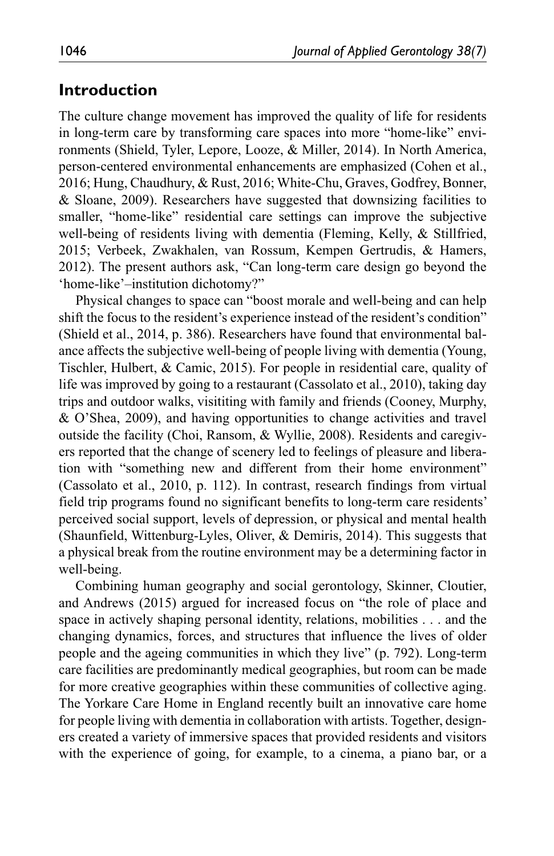# **Introduction**

The culture change movement has improved the quality of life for residents in long-term care by transforming care spaces into more "home-like" environments (Shield, Tyler, Lepore, Looze, & Miller, 2014). In North America, person-centered environmental enhancements are emphasized (Cohen et al., 2016; Hung, Chaudhury, & Rust, 2016; White-Chu, Graves, Godfrey, Bonner, & Sloane, 2009). Researchers have suggested that downsizing facilities to smaller, "home-like" residential care settings can improve the subjective well-being of residents living with dementia (Fleming, Kelly, & Stillfried, 2015; Verbeek, Zwakhalen, van Rossum, Kempen Gertrudis, & Hamers, 2012). The present authors ask, "Can long-term care design go beyond the 'home-like'–institution dichotomy?"

Physical changes to space can "boost morale and well-being and can help shift the focus to the resident's experience instead of the resident's condition" (Shield et al., 2014, p. 386). Researchers have found that environmental balance affects the subjective well-being of people living with dementia (Young, Tischler, Hulbert, & Camic, 2015). For people in residential care, quality of life was improved by going to a restaurant (Cassolato et al., 2010), taking day trips and outdoor walks, visititing with family and friends (Cooney, Murphy, & O'Shea, 2009), and having opportunities to change activities and travel outside the facility (Choi, Ransom, & Wyllie, 2008). Residents and caregivers reported that the change of scenery led to feelings of pleasure and liberation with "something new and different from their home environment" (Cassolato et al., 2010, p. 112). In contrast, research findings from virtual field trip programs found no significant benefits to long-term care residents' perceived social support, levels of depression, or physical and mental health (Shaunfield, Wittenburg-Lyles, Oliver, & Demiris, 2014). This suggests that a physical break from the routine environment may be a determining factor in well-being.

Combining human geography and social gerontology, Skinner, Cloutier, and Andrews (2015) argued for increased focus on "the role of place and space in actively shaping personal identity, relations, mobilities . . . and the changing dynamics, forces, and structures that influence the lives of older people and the ageing communities in which they live" (p. 792). Long-term care facilities are predominantly medical geographies, but room can be made for more creative geographies within these communities of collective aging. The Yorkare Care Home in England recently built an innovative care home for people living with dementia in collaboration with artists. Together, designers created a variety of immersive spaces that provided residents and visitors with the experience of going, for example, to a cinema, a piano bar, or a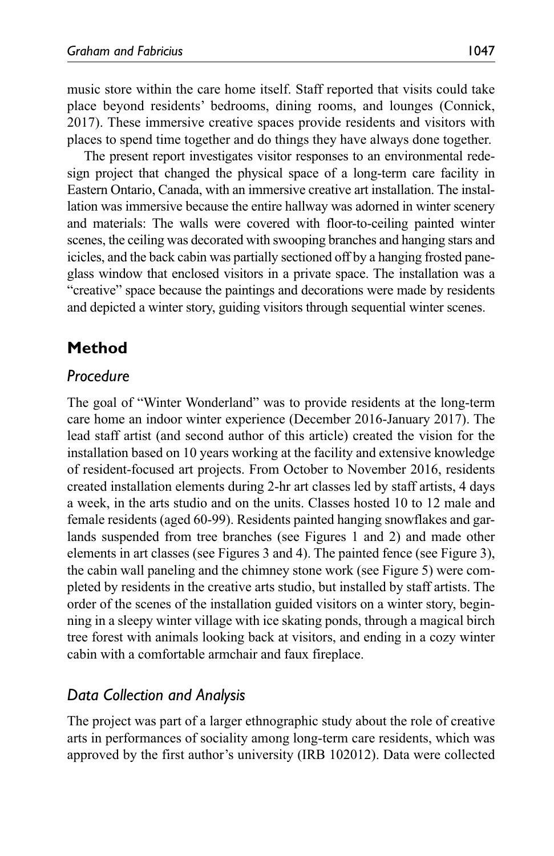music store within the care home itself. Staff reported that visits could take place beyond residents' bedrooms, dining rooms, and lounges (Connick, 2017). These immersive creative spaces provide residents and visitors with places to spend time together and do things they have always done together.

The present report investigates visitor responses to an environmental redesign project that changed the physical space of a long-term care facility in Eastern Ontario, Canada, with an immersive creative art installation. The installation was immersive because the entire hallway was adorned in winter scenery and materials: The walls were covered with floor-to-ceiling painted winter scenes, the ceiling was decorated with swooping branches and hanging stars and icicles, and the back cabin was partially sectioned off by a hanging frosted paneglass window that enclosed visitors in a private space. The installation was a "creative" space because the paintings and decorations were made by residents and depicted a winter story, guiding visitors through sequential winter scenes.

# **Method**

### *Procedure*

The goal of "Winter Wonderland" was to provide residents at the long-term care home an indoor winter experience (December 2016-January 2017). The lead staff artist (and second author of this article) created the vision for the installation based on 10 years working at the facility and extensive knowledge of resident-focused art projects. From October to November 2016, residents created installation elements during 2-hr art classes led by staff artists, 4 days a week, in the arts studio and on the units. Classes hosted 10 to 12 male and female residents (aged 60-99). Residents painted hanging snowflakes and garlands suspended from tree branches (see Figures 1 and 2) and made other elements in art classes (see Figures 3 and 4). The painted fence (see Figure 3), the cabin wall paneling and the chimney stone work (see Figure 5) were completed by residents in the creative arts studio, but installed by staff artists. The order of the scenes of the installation guided visitors on a winter story, beginning in a sleepy winter village with ice skating ponds, through a magical birch tree forest with animals looking back at visitors, and ending in a cozy winter cabin with a comfortable armchair and faux fireplace.

# *Data Collection and Analysis*

The project was part of a larger ethnographic study about the role of creative arts in performances of sociality among long-term care residents, which was approved by the first author's university (IRB 102012). Data were collected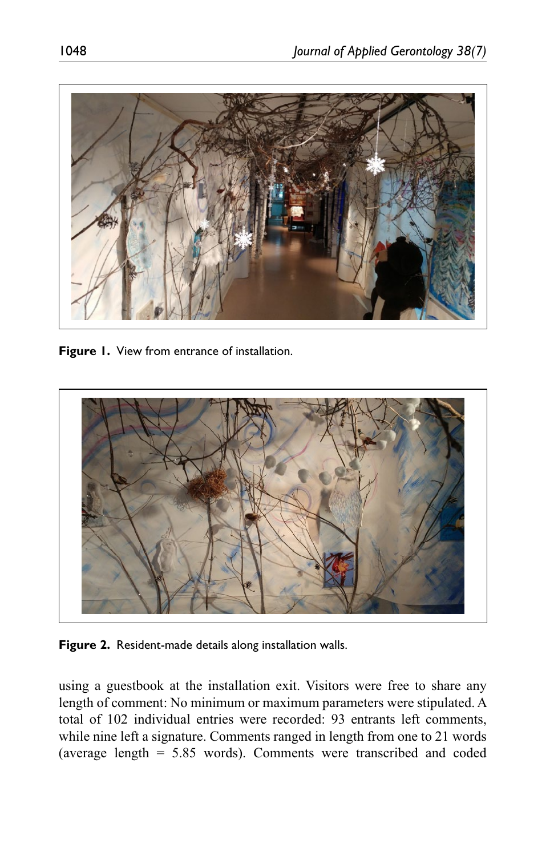

**Figure 1.** View from entrance of installation.



**Figure 2.** Resident-made details along installation walls.

using a guestbook at the installation exit. Visitors were free to share any length of comment: No minimum or maximum parameters were stipulated. A total of 102 individual entries were recorded: 93 entrants left comments, while nine left a signature. Comments ranged in length from one to 21 words (average length = 5.85 words). Comments were transcribed and coded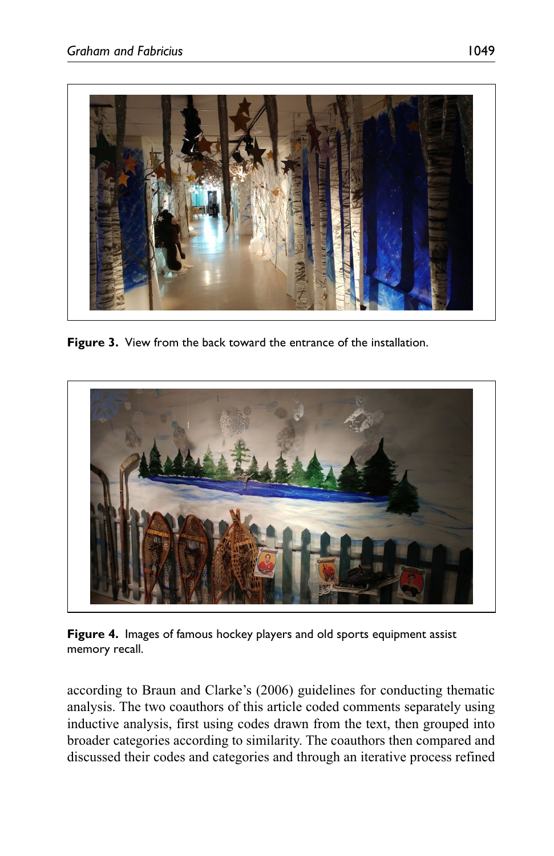

**Figure 3.** View from the back toward the entrance of the installation.



**Figure 4.** Images of famous hockey players and old sports equipment assist memory recall.

according to Braun and Clarke's (2006) guidelines for conducting thematic analysis. The two coauthors of this article coded comments separately using inductive analysis, first using codes drawn from the text, then grouped into broader categories according to similarity. The coauthors then compared and discussed their codes and categories and through an iterative process refined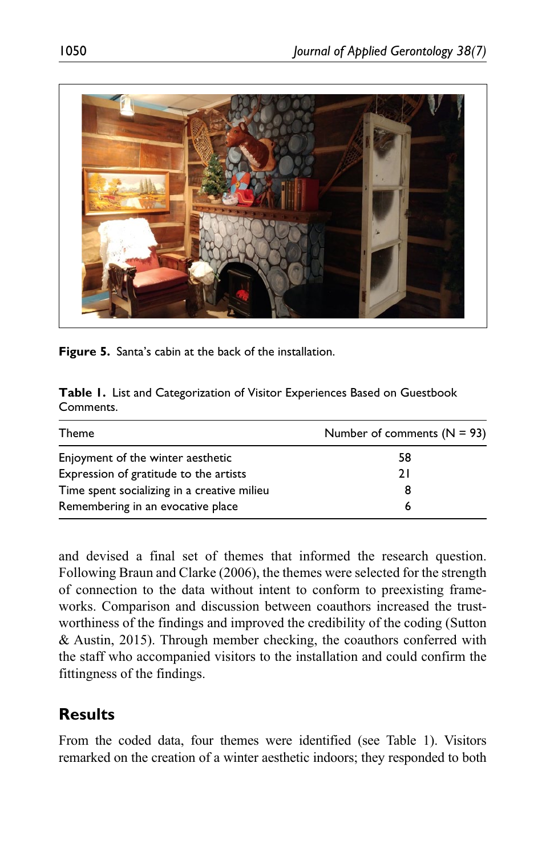

**Figure 5.** Santa's cabin at the back of the installation.

|           | Table I. List and Categorization of Visitor Experiences Based on Guestbook |  |  |
|-----------|----------------------------------------------------------------------------|--|--|
| Comments. |                                                                            |  |  |

| Theme                                       | Number of comments $(N = 93)$ |  |  |
|---------------------------------------------|-------------------------------|--|--|
| Enjoyment of the winter aesthetic           | 58                            |  |  |
| Expression of gratitude to the artists      | 21                            |  |  |
| Time spent socializing in a creative milieu |                               |  |  |
| Remembering in an evocative place           |                               |  |  |

and devised a final set of themes that informed the research question. Following Braun and Clarke (2006), the themes were selected for the strength of connection to the data without intent to conform to preexisting frameworks. Comparison and discussion between coauthors increased the trustworthiness of the findings and improved the credibility of the coding (Sutton & Austin, 2015). Through member checking, the coauthors conferred with the staff who accompanied visitors to the installation and could confirm the fittingness of the findings.

# **Results**

From the coded data, four themes were identified (see Table 1). Visitors remarked on the creation of a winter aesthetic indoors; they responded to both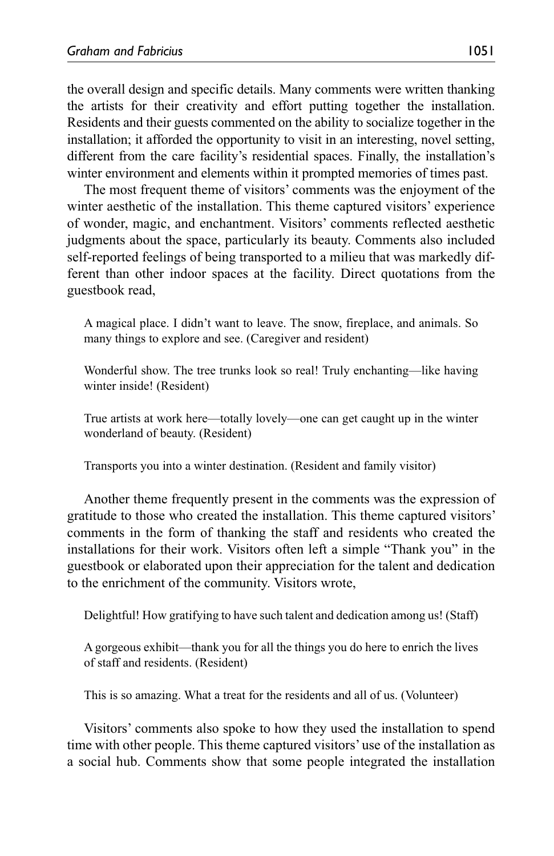the overall design and specific details. Many comments were written thanking the artists for their creativity and effort putting together the installation. Residents and their guests commented on the ability to socialize together in the installation; it afforded the opportunity to visit in an interesting, novel setting, different from the care facility's residential spaces. Finally, the installation's winter environment and elements within it prompted memories of times past.

The most frequent theme of visitors' comments was the enjoyment of the winter aesthetic of the installation. This theme captured visitors' experience of wonder, magic, and enchantment. Visitors' comments reflected aesthetic judgments about the space, particularly its beauty. Comments also included self-reported feelings of being transported to a milieu that was markedly different than other indoor spaces at the facility. Direct quotations from the guestbook read,

A magical place. I didn't want to leave. The snow, fireplace, and animals. So many things to explore and see. (Caregiver and resident)

Wonderful show. The tree trunks look so real! Truly enchanting—like having winter inside! (Resident)

True artists at work here—totally lovely—one can get caught up in the winter wonderland of beauty. (Resident)

Transports you into a winter destination. (Resident and family visitor)

Another theme frequently present in the comments was the expression of gratitude to those who created the installation. This theme captured visitors' comments in the form of thanking the staff and residents who created the installations for their work. Visitors often left a simple "Thank you" in the guestbook or elaborated upon their appreciation for the talent and dedication to the enrichment of the community. Visitors wrote,

Delightful! How gratifying to have such talent and dedication among us! (Staff)

A gorgeous exhibit—thank you for all the things you do here to enrich the lives of staff and residents. (Resident)

This is so amazing. What a treat for the residents and all of us. (Volunteer)

Visitors' comments also spoke to how they used the installation to spend time with other people. This theme captured visitors' use of the installation as a social hub. Comments show that some people integrated the installation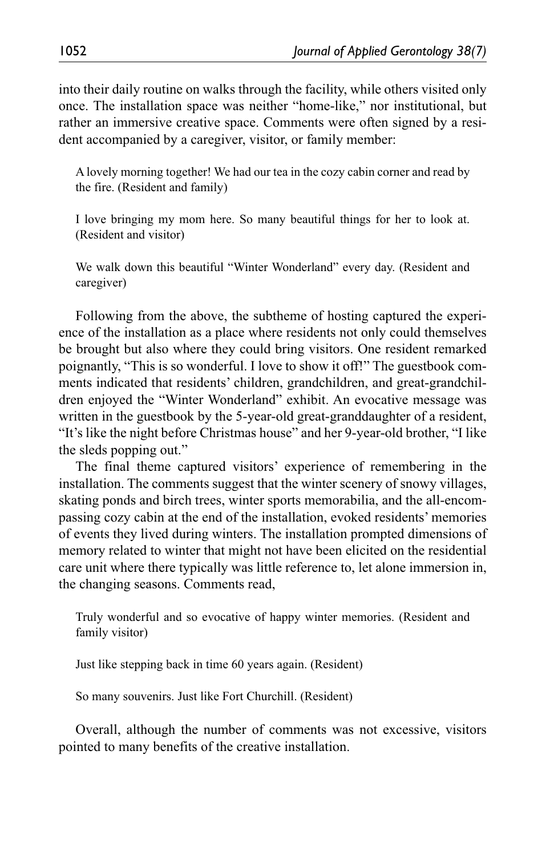into their daily routine on walks through the facility, while others visited only once. The installation space was neither "home-like," nor institutional, but rather an immersive creative space. Comments were often signed by a resident accompanied by a caregiver, visitor, or family member:

A lovely morning together! We had our tea in the cozy cabin corner and read by the fire. (Resident and family)

I love bringing my mom here. So many beautiful things for her to look at. (Resident and visitor)

We walk down this beautiful "Winter Wonderland" every day. (Resident and caregiver)

Following from the above, the subtheme of hosting captured the experience of the installation as a place where residents not only could themselves be brought but also where they could bring visitors. One resident remarked poignantly, "This is so wonderful. I love to show it off!" The guestbook comments indicated that residents' children, grandchildren, and great-grandchildren enjoyed the "Winter Wonderland" exhibit. An evocative message was written in the guestbook by the 5-year-old great-granddaughter of a resident, "It's like the night before Christmas house" and her 9-year-old brother, "I like the sleds popping out."

The final theme captured visitors' experience of remembering in the installation. The comments suggest that the winter scenery of snowy villages, skating ponds and birch trees, winter sports memorabilia, and the all-encompassing cozy cabin at the end of the installation, evoked residents' memories of events they lived during winters. The installation prompted dimensions of memory related to winter that might not have been elicited on the residential care unit where there typically was little reference to, let alone immersion in, the changing seasons. Comments read,

Truly wonderful and so evocative of happy winter memories. (Resident and family visitor)

Just like stepping back in time 60 years again. (Resident)

So many souvenirs. Just like Fort Churchill. (Resident)

Overall, although the number of comments was not excessive, visitors pointed to many benefits of the creative installation.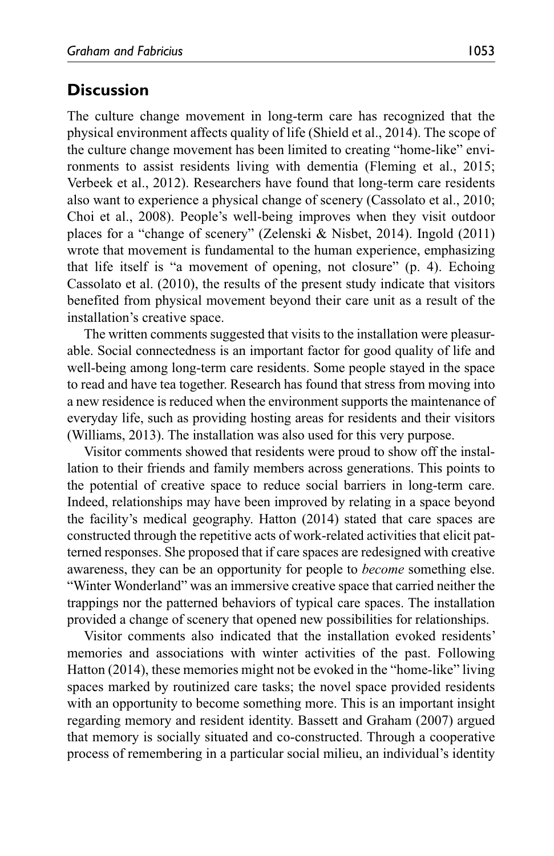## **Discussion**

The culture change movement in long-term care has recognized that the physical environment affects quality of life (Shield et al., 2014). The scope of the culture change movement has been limited to creating "home-like" environments to assist residents living with dementia (Fleming et al., 2015; Verbeek et al., 2012). Researchers have found that long-term care residents also want to experience a physical change of scenery (Cassolato et al., 2010; Choi et al., 2008). People's well-being improves when they visit outdoor places for a "change of scenery" (Zelenski & Nisbet, 2014). Ingold (2011) wrote that movement is fundamental to the human experience, emphasizing that life itself is "a movement of opening, not closure" (p. 4). Echoing Cassolato et al. (2010), the results of the present study indicate that visitors benefited from physical movement beyond their care unit as a result of the installation's creative space.

The written comments suggested that visits to the installation were pleasurable. Social connectedness is an important factor for good quality of life and well-being among long-term care residents. Some people stayed in the space to read and have tea together. Research has found that stress from moving into a new residence is reduced when the environment supports the maintenance of everyday life, such as providing hosting areas for residents and their visitors (Williams, 2013). The installation was also used for this very purpose.

Visitor comments showed that residents were proud to show off the installation to their friends and family members across generations. This points to the potential of creative space to reduce social barriers in long-term care. Indeed, relationships may have been improved by relating in a space beyond the facility's medical geography. Hatton (2014) stated that care spaces are constructed through the repetitive acts of work-related activities that elicit patterned responses. She proposed that if care spaces are redesigned with creative awareness, they can be an opportunity for people to *become* something else. "Winter Wonderland" was an immersive creative space that carried neither the trappings nor the patterned behaviors of typical care spaces. The installation provided a change of scenery that opened new possibilities for relationships.

Visitor comments also indicated that the installation evoked residents' memories and associations with winter activities of the past. Following Hatton (2014), these memories might not be evoked in the "home-like" living spaces marked by routinized care tasks; the novel space provided residents with an opportunity to become something more. This is an important insight regarding memory and resident identity. Bassett and Graham (2007) argued that memory is socially situated and co-constructed. Through a cooperative process of remembering in a particular social milieu, an individual's identity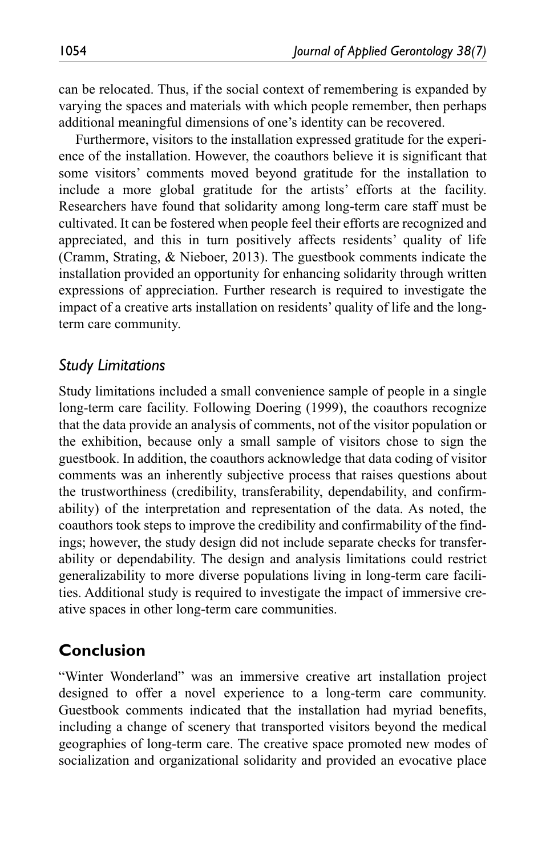can be relocated. Thus, if the social context of remembering is expanded by varying the spaces and materials with which people remember, then perhaps additional meaningful dimensions of one's identity can be recovered.

Furthermore, visitors to the installation expressed gratitude for the experience of the installation. However, the coauthors believe it is significant that some visitors' comments moved beyond gratitude for the installation to include a more global gratitude for the artists' efforts at the facility. Researchers have found that solidarity among long-term care staff must be cultivated. It can be fostered when people feel their efforts are recognized and appreciated, and this in turn positively affects residents' quality of life (Cramm, Strating, & Nieboer, 2013). The guestbook comments indicate the installation provided an opportunity for enhancing solidarity through written expressions of appreciation. Further research is required to investigate the impact of a creative arts installation on residents' quality of life and the longterm care community.

### *Study Limitations*

Study limitations included a small convenience sample of people in a single long-term care facility. Following Doering (1999), the coauthors recognize that the data provide an analysis of comments, not of the visitor population or the exhibition, because only a small sample of visitors chose to sign the guestbook. In addition, the coauthors acknowledge that data coding of visitor comments was an inherently subjective process that raises questions about the trustworthiness (credibility, transferability, dependability, and confirmability) of the interpretation and representation of the data. As noted, the coauthors took steps to improve the credibility and confirmability of the findings; however, the study design did not include separate checks for transferability or dependability. The design and analysis limitations could restrict generalizability to more diverse populations living in long-term care facilities. Additional study is required to investigate the impact of immersive creative spaces in other long-term care communities.

## **Conclusion**

"Winter Wonderland" was an immersive creative art installation project designed to offer a novel experience to a long-term care community. Guestbook comments indicated that the installation had myriad benefits, including a change of scenery that transported visitors beyond the medical geographies of long-term care. The creative space promoted new modes of socialization and organizational solidarity and provided an evocative place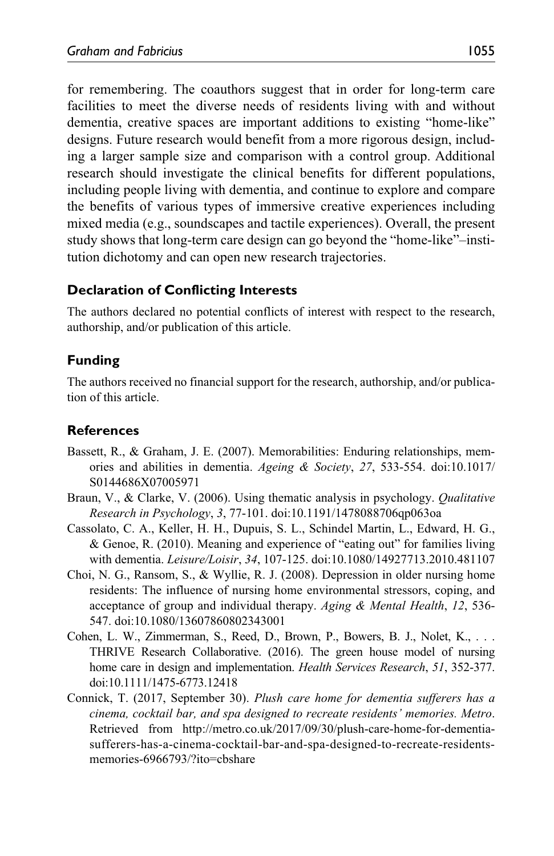for remembering. The coauthors suggest that in order for long-term care facilities to meet the diverse needs of residents living with and without dementia, creative spaces are important additions to existing "home-like" designs. Future research would benefit from a more rigorous design, including a larger sample size and comparison with a control group. Additional research should investigate the clinical benefits for different populations, including people living with dementia, and continue to explore and compare the benefits of various types of immersive creative experiences including mixed media (e.g., soundscapes and tactile experiences). Overall, the present study shows that long-term care design can go beyond the "home-like"–institution dichotomy and can open new research trajectories.

### **Declaration of Conflicting Interests**

The authors declared no potential conflicts of interest with respect to the research, authorship, and/or publication of this article.

### **Funding**

The authors received no financial support for the research, authorship, and/or publication of this article.

### **References**

- Bassett, R., & Graham, J. E. (2007). Memorabilities: Enduring relationships, memories and abilities in dementia. *Ageing & Society*, *27*, 533-554. doi:10.1017/ S0144686X07005971
- Braun, V., & Clarke, V. (2006). Using thematic analysis in psychology. *Qualitative Research in Psychology*, *3*, 77-101. doi:10.1191/1478088706qp063oa
- Cassolato, C. A., Keller, H. H., Dupuis, S. L., Schindel Martin, L., Edward, H. G., & Genoe, R. (2010). Meaning and experience of "eating out" for families living with dementia. *Leisure/Loisir*, *34*, 107-125. doi:10.1080/14927713.2010.481107
- Choi, N. G., Ransom, S., & Wyllie, R. J. (2008). Depression in older nursing home residents: The influence of nursing home environmental stressors, coping, and acceptance of group and individual therapy. *Aging & Mental Health*, *12*, 536- 547. doi:10.1080/13607860802343001
- Cohen, L. W., Zimmerman, S., Reed, D., Brown, P., Bowers, B. J., Nolet, K., . . . THRIVE Research Collaborative. (2016). The green house model of nursing home care in design and implementation. *Health Services Research*, *51*, 352-377. doi:10.1111/1475-6773.12418
- Connick, T. (2017, September 30). *Plush care home for dementia sufferers has a cinema, cocktail bar, and spa designed to recreate residents' memories. Metro*. Retrieved from [http://metro.co.uk/2017/09/30/plush-care-home-for-dementia](http://metro.co.uk/2017/09/30/plush-care-home-for-dementia-sufferers-has-a-cinema-cocktail-bar-and-spa-designed-to-recreate-residents-memories-6966793/?ito=cbshare)[sufferers-has-a-cinema-cocktail-bar-and-spa-designed-to-recreate-residents](http://metro.co.uk/2017/09/30/plush-care-home-for-dementia-sufferers-has-a-cinema-cocktail-bar-and-spa-designed-to-recreate-residents-memories-6966793/?ito=cbshare)[memories-6966793/?ito=cbshare](http://metro.co.uk/2017/09/30/plush-care-home-for-dementia-sufferers-has-a-cinema-cocktail-bar-and-spa-designed-to-recreate-residents-memories-6966793/?ito=cbshare)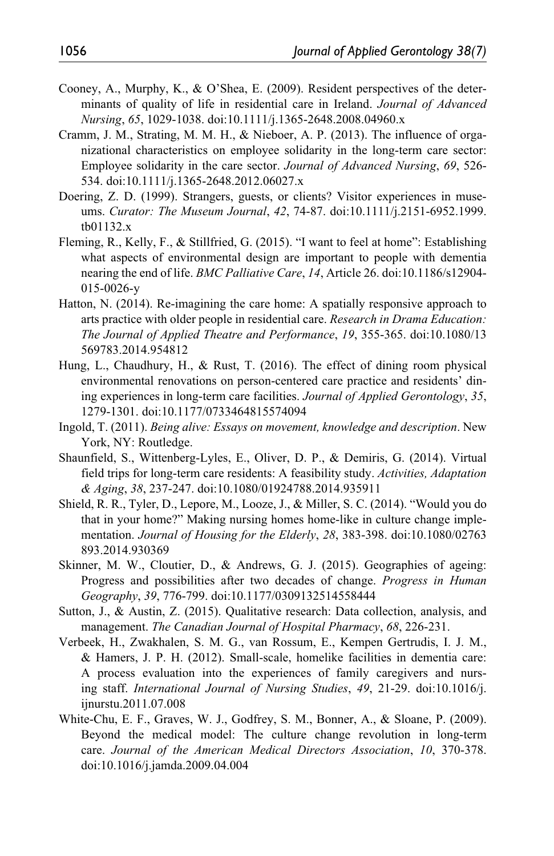- Cooney, A., Murphy, K., & O'Shea, E. (2009). Resident perspectives of the determinants of quality of life in residential care in Ireland. *Journal of Advanced Nursing*, *65*, 1029-1038. doi:10.1111/j.1365-2648.2008.04960.x
- Cramm, J. M., Strating, M. M. H., & Nieboer, A. P. (2013). The influence of organizational characteristics on employee solidarity in the long-term care sector: Employee solidarity in the care sector. *Journal of Advanced Nursing*, *69*, 526- 534. doi:10.1111/j.1365-2648.2012.06027.x
- Doering, Z. D. (1999). Strangers, guests, or clients? Visitor experiences in museums. *Curator: The Museum Journal*, *42*, 74-87. doi:10.1111/j.2151-6952.1999. tb01132.x
- Fleming, R., Kelly, F., & Stillfried, G. (2015). "I want to feel at home": Establishing what aspects of environmental design are important to people with dementia nearing the end of life. *BMC Palliative Care*, *14*, Article 26. doi:10.1186/s12904- 015-0026-y
- Hatton, N. (2014). Re-imagining the care home: A spatially responsive approach to arts practice with older people in residential care. *Research in Drama Education: The Journal of Applied Theatre and Performance*, *19*, 355-365. doi:10.1080/13 569783.2014.954812
- Hung, L., Chaudhury, H., & Rust, T. (2016). The effect of dining room physical environmental renovations on person-centered care practice and residents' dining experiences in long-term care facilities. *Journal of Applied Gerontology*, *35*, 1279-1301. doi:10.1177/0733464815574094
- Ingold, T. (2011). *Being alive: Essays on movement, knowledge and description*. New York, NY: Routledge.
- Shaunfield, S., Wittenberg-Lyles, E., Oliver, D. P., & Demiris, G. (2014). Virtual field trips for long-term care residents: A feasibility study. *Activities, Adaptation & Aging*, *38*, 237-247. doi:10.1080/01924788.2014.935911
- Shield, R. R., Tyler, D., Lepore, M., Looze, J., & Miller, S. C. (2014). "Would you do that in your home?" Making nursing homes home-like in culture change implementation. *Journal of Housing for the Elderly*, *28*, 383-398. doi:10.1080/02763 893.2014.930369
- Skinner, M. W., Cloutier, D., & Andrews, G. J. (2015). Geographies of ageing: Progress and possibilities after two decades of change. *Progress in Human Geography*, *39*, 776-799. doi:10.1177/0309132514558444
- Sutton, J., & Austin, Z. (2015). Qualitative research: Data collection, analysis, and management. *The Canadian Journal of Hospital Pharmacy*, *68*, 226-231.
- Verbeek, H., Zwakhalen, S. M. G., van Rossum, E., Kempen Gertrudis, I. J. M., & Hamers, J. P. H. (2012). Small-scale, homelike facilities in dementia care: A process evaluation into the experiences of family caregivers and nursing staff. *International Journal of Nursing Studies*, *49*, 21-29. doi:10.1016/j. ijnurstu.2011.07.008
- White-Chu, E. F., Graves, W. J., Godfrey, S. M., Bonner, A., & Sloane, P. (2009). Beyond the medical model: The culture change revolution in long-term care. *Journal of the American Medical Directors Association*, *10*, 370-378. doi:10.1016/j.jamda.2009.04.004